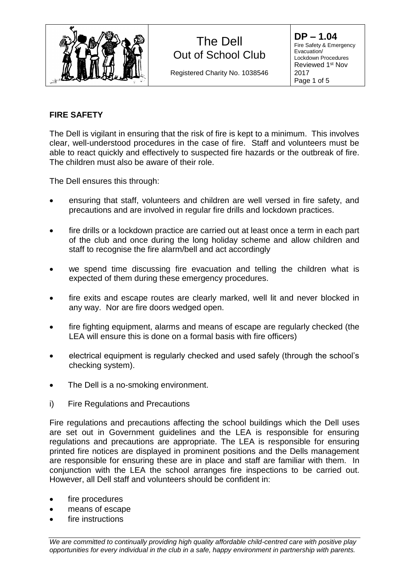

Registered Charity No. 1038546

**DP – 1.04** Fire Safety & Emergency Evacuation/ Lockdown Procedures Reviewed 1<sup>st</sup> Nov 2017 Page 1 of 5

### **FIRE SAFETY**

The Dell is vigilant in ensuring that the risk of fire is kept to a minimum. This involves clear, well-understood procedures in the case of fire. Staff and volunteers must be able to react quickly and effectively to suspected fire hazards or the outbreak of fire. The children must also be aware of their role.

The Dell ensures this through:

- ensuring that staff, volunteers and children are well versed in fire safety, and precautions and are involved in regular fire drills and lockdown practices.
- fire drills or a lockdown practice are carried out at least once a term in each part of the club and once during the long holiday scheme and allow children and staff to recognise the fire alarm/bell and act accordingly
- we spend time discussing fire evacuation and telling the children what is expected of them during these emergency procedures.
- fire exits and escape routes are clearly marked, well lit and never blocked in any way. Nor are fire doors wedged open.
- fire fighting equipment, alarms and means of escape are regularly checked (the LEA will ensure this is done on a formal basis with fire officers)
- electrical equipment is regularly checked and used safely (through the school's checking system).
- The Dell is a no-smoking environment.
- i) Fire Regulations and Precautions

Fire regulations and precautions affecting the school buildings which the Dell uses are set out in Government guidelines and the LEA is responsible for ensuring regulations and precautions are appropriate. The LEA is responsible for ensuring printed fire notices are displayed in prominent positions and the Dells management are responsible for ensuring these are in place and staff are familiar with them. In conjunction with the LEA the school arranges fire inspections to be carried out. However, all Dell staff and volunteers should be confident in:

- fire procedures
- means of escape
- fire instructions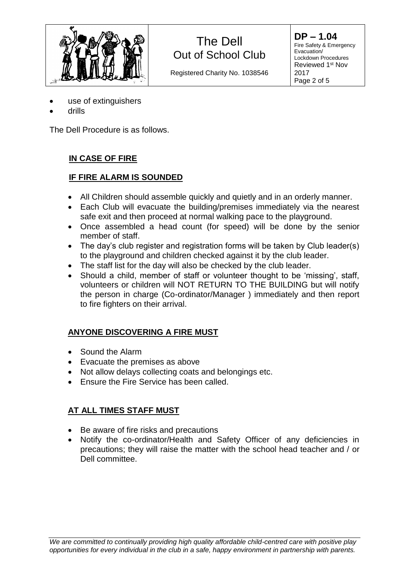

Registered Charity No. 1038546

**DP – 1.04** Fire Safety & Emergency Evacuation/ Lockdown Procedures Reviewed 1<sup>st</sup> Nov 2017 Page 2 of 5

- use of extinguishers
- drills

The Dell Procedure is as follows.

### **IN CASE OF FIRE**

### **IF FIRE ALARM IS SOUNDED**

- All Children should assemble quickly and quietly and in an orderly manner.
- Each Club will evacuate the building/premises immediately via the nearest safe exit and then proceed at normal walking pace to the playground.
- Once assembled a head count (for speed) will be done by the senior member of staff.
- The day's club register and registration forms will be taken by Club leader(s) to the playground and children checked against it by the club leader.
- The staff list for the day will also be checked by the club leader.
- Should a child, member of staff or volunteer thought to be 'missing', staff, volunteers or children will NOT RETURN TO THE BUILDING but will notify the person in charge (Co-ordinator/Manager ) immediately and then report to fire fighters on their arrival.

### **ANYONE DISCOVERING A FIRE MUST**

- Sound the Alarm
- Evacuate the premises as above
- Not allow delays collecting coats and belongings etc.
- Ensure the Fire Service has been called.

### **AT ALL TIMES STAFF MUST**

- Be aware of fire risks and precautions
- Notify the co-ordinator/Health and Safety Officer of any deficiencies in precautions; they will raise the matter with the school head teacher and / or Dell committee.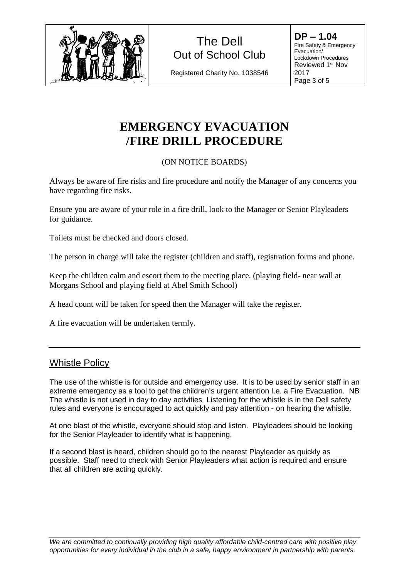

Registered Charity No. 1038546

**DP – 1.04** Fire Safety & Emergency Evacuation/ Lockdown Procedures Reviewed 1<sup>st</sup> Nov 2017 Page 3 of 5

# **EMERGENCY EVACUATION /FIRE DRILL PROCEDURE**

### (ON NOTICE BOARDS)

Always be aware of fire risks and fire procedure and notify the Manager of any concerns you have regarding fire risks.

Ensure you are aware of your role in a fire drill, look to the Manager or Senior Playleaders for guidance.

Toilets must be checked and doors closed.

The person in charge will take the register (children and staff), registration forms and phone.

Keep the children calm and escort them to the meeting place. (playing field- near wall at Morgans School and playing field at Abel Smith School)

A head count will be taken for speed then the Manager will take the register.

A fire evacuation will be undertaken termly.

### Whistle Policy

The use of the whistle is for outside and emergency use. It is to be used by senior staff in an extreme emergency as a tool to get the children's urgent attention I.e. a Fire Evacuation. NB The whistle is not used in day to day activities Listening for the whistle is in the Dell safety rules and everyone is encouraged to act quickly and pay attention - on hearing the whistle.

At one blast of the whistle, everyone should stop and listen. Playleaders should be looking for the Senior Playleader to identify what is happening.

If a second blast is heard, children should go to the nearest Playleader as quickly as possible. Staff need to check with Senior Playleaders what action is required and ensure that all children are acting quickly.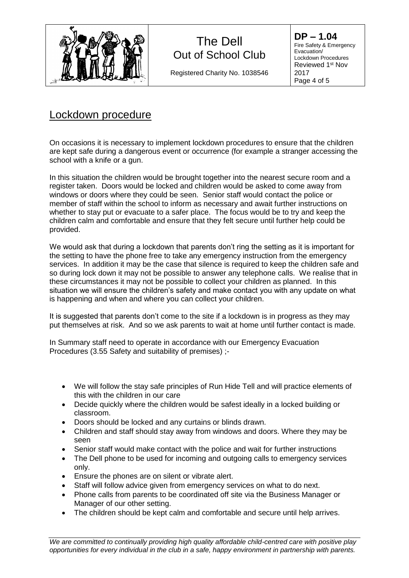

Registered Charity No. 1038546

**DP – 1.04** Fire Safety & Emergency Evacuation/ Lockdown Procedures Reviewed 1<sup>st</sup> Nov 2017 Page 4 of 5

### Lockdown procedure

On occasions it is necessary to implement lockdown procedures to ensure that the children are kept safe during a dangerous event or occurrence (for example a stranger accessing the school with a knife or a gun.

In this situation the children would be brought together into the nearest secure room and a register taken. Doors would be locked and children would be asked to come away from windows or doors where they could be seen. Senior staff would contact the police or member of staff within the school to inform as necessary and await further instructions on whether to stay put or evacuate to a safer place. The focus would be to try and keep the children calm and comfortable and ensure that they felt secure until further help could be provided.

We would ask that during a lockdown that parents don't ring the setting as it is important for the setting to have the phone free to take any emergency instruction from the emergency services. In addition it may be the case that silence is required to keep the children safe and so during lock down it may not be possible to answer any telephone calls. We realise that in these circumstances it may not be possible to collect your children as planned. In this situation we will ensure the children's safety and make contact you with any update on what is happening and when and where you can collect your children.

It is suggested that parents don't come to the site if a lockdown is in progress as they may put themselves at risk. And so we ask parents to wait at home until further contact is made.

In Summary staff need to operate in accordance with our Emergency Evacuation Procedures (3.55 Safety and suitability of premises) ;-

- We will follow the stay safe principles of Run Hide Tell and will practice elements of this with the children in our care
- Decide quickly where the children would be safest ideally in a locked building or classroom.
- Doors should be locked and any curtains or blinds drawn.
- Children and staff should stay away from windows and doors. Where they may be seen
- Senior staff would make contact with the police and wait for further instructions
- The Dell phone to be used for incoming and outgoing calls to emergency services only.
- Ensure the phones are on silent or vibrate alert.
- Staff will follow advice given from emergency services on what to do next.
- Phone calls from parents to be coordinated off site via the Business Manager or Manager of our other setting.
- The children should be kept calm and comfortable and secure until help arrives.